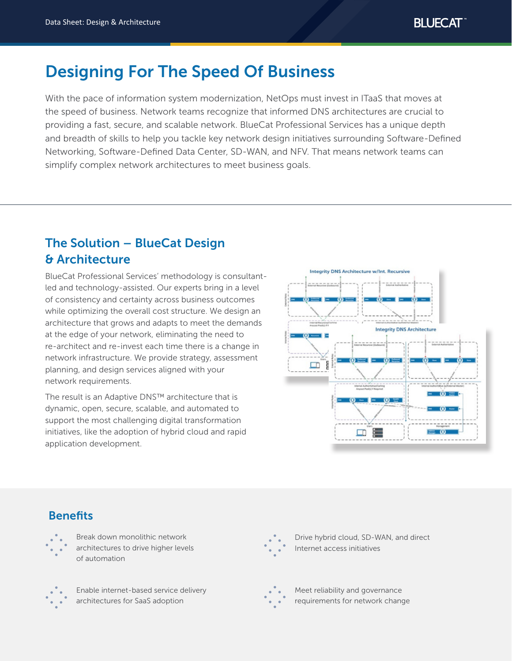# Designing For The Speed Of Business

With the pace of information system modernization, NetOps must invest in ITaaS that moves at the speed of business. Network teams recognize that informed DNS architectures are crucial to providing a fast, secure, and scalable network. BlueCat Professional Services has a unique depth and breadth of skills to help you tackle key network design initiatives surrounding Software-Defined Networking, Software-Defined Data Center, SD-WAN, and NFV. That means network teams can simplify complex network architectures to meet business goals.

## The Solution – BlueCat Design & Architecture

BlueCat Professional Services' methodology is consultantled and technology-assisted. Our experts bring in a level of consistency and certainty across business outcomes while optimizing the overall cost structure. We design an architecture that grows and adapts to meet the demands at the edge of your network, eliminating the need to re-architect and re-invest each time there is a change in network infrastructure. We provide strategy, assessment planning, and design services aligned with your network requirements.

The result is an Adaptive DNS™ architecture that is dynamic, open, secure, scalable, and automated to support the most challenging digital transformation initiatives, like the adoption of hybrid cloud and rapid application development.



## **Benefits**



Break down monolithic network architectures to drive higher levels of automation



Enable internet-based service delivery architectures for SaaS adoption



Drive hybrid cloud, SD-WAN, and direct Internet access initiatives



Meet reliability and governance requirements for network change